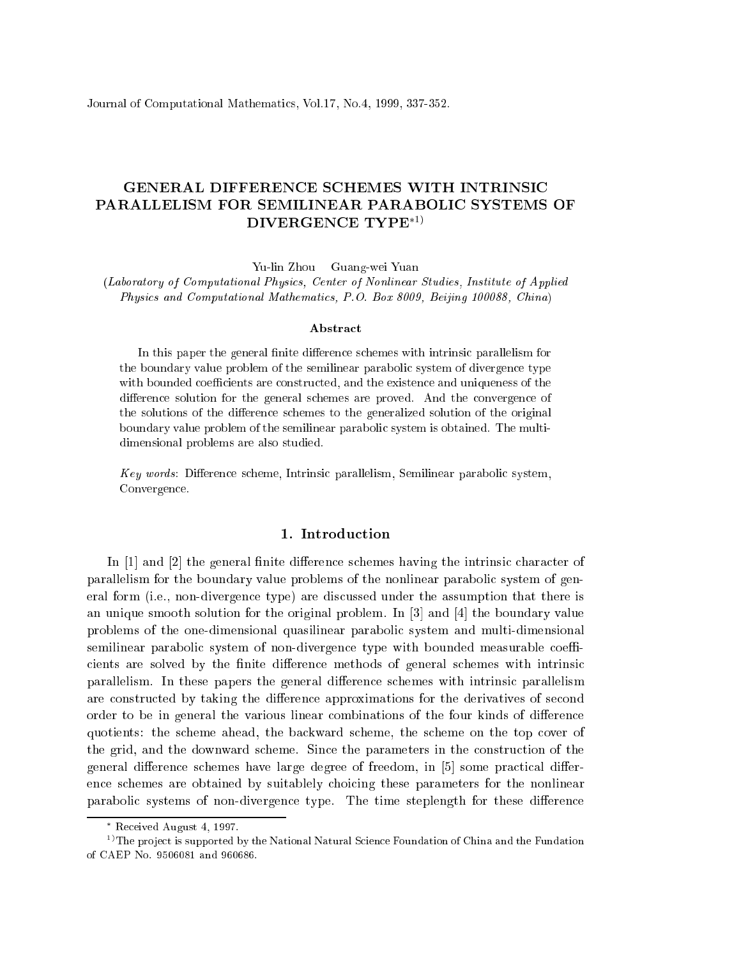Journal of Computational Mathemati
s, Vol.17, No.4, 1999, 337-352.

# GENERAL DIFFERENCE SCHEMES WITH INTRINSIC PARALLELISM FOR SEMILINEAR PARABOLIC SYSTEMS OF  $DIVERGENCE TYPE*1)$

Yu-lin Zhou Guang-wei Yuan

(Laboratory of Computational Physi
s, Center of Nonlinear Studies, Institute of Applied Physics and Computational Mathematics, P.O. Box 8009, Beijing 100088, China)

#### **Abstract**

In this paper the general finite difference schemes with intrinsic parallelism for the boundary value problem of the semilinear parabolic system of divergence type with bounded coefficients are constructed, and the existence and uniqueness of the difference solution for the general schemes are proved. And the convergence of the solutions of the difference schemes to the generalized solution of the original boundary value problem of the semilinear parabolic system is obtained. The multidimensional problems are also studied.

Key words: Difference scheme, Intrinsic parallelism, Semilinear parabolic system, Convergen
e.

## 1. Introdu
tion

In  $[1]$  and  $[2]$  the general finite difference schemes having the intrinsic character of parallelism for the boundary value problems of the nonlinear parabolic system of general form (i.e., non-divergen
e type) are dis
ussed under the assumption that there is an unique smooth solution for the original problem. In  $[3]$  and  $[4]$  the boundary value problems of the one-dimensional quasilinear parabolic system and multi-dimensional semilinear parabolic system of non-divergence type with bounded measurable coefficients are solved by the finite difference methods of general schemes with intrinsic parallelism. In these papers the general difference schemes with intrinsic parallelism are constructed by taking the difference approximations for the derivatives of second order to be in general the various linear combinations of the four kinds of difference quotients: the s
heme ahead, the ba
kward s
heme, the s
heme on the top over of the grid, and the downward s
heme. Sin
e the parameters in the onstru
tion of the general difference schemes have large degree of freedom, in [5] some practical differen
e s
hemes are obtained by suitablely hoi
ing these parameters for the nonlinear parabolic systems of non-divergence type. The time steplength for these difference

Re
eived August 4, 1997.

<sup>&</sup>lt;sup>1)</sup>The project is supported by the National Natural Science Foundation of China and the Fundation of CAEP No. 9506081 and 960686.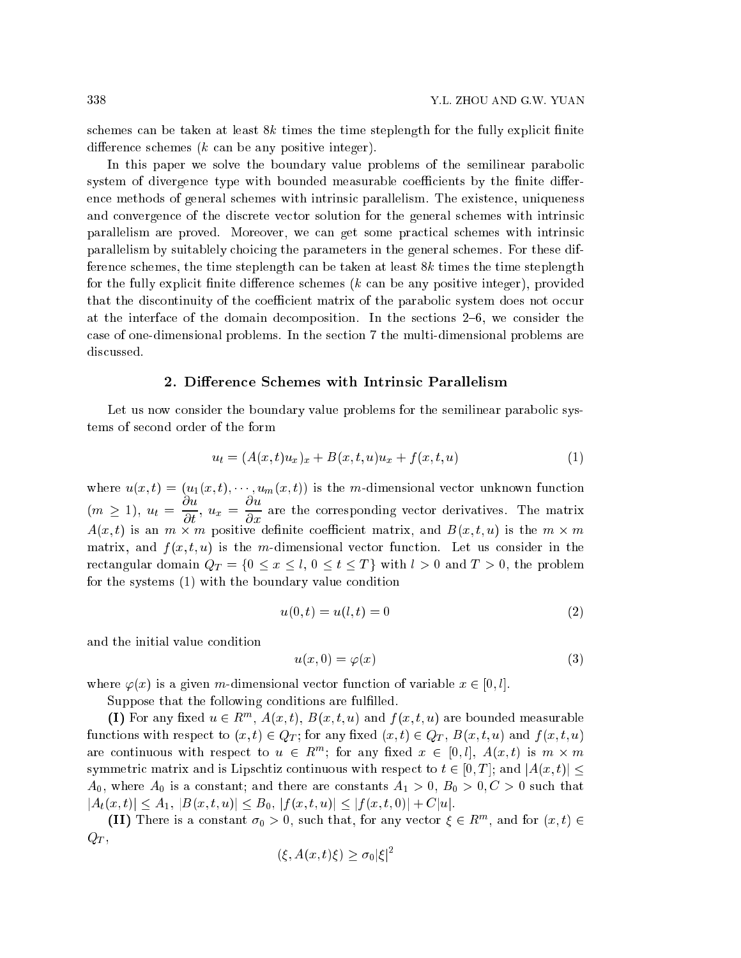schemes can be taken at least  $8k$  times the time steplength for the fully explicit finite difference schemes  $(k \text{ can be any positive integer}).$ 

In this paper we solve the boundary value problems of the semilinear paraboli system of divergence type with bounded measurable coefficients by the finite differen
e methods of general s
hemes with intrinsi parallelism. The existen
e, uniqueness and convergence of the discrete vector solution for the general schemes with intrinsic parallelism are proved. Moreover, we can get some practical schemes with intrinsic parallelism by suitablely hoi
ing the parameters in the general s
hemes. For these difference schemes, the time steplength can be taken at least 8k times the time steplength for the fully explicit finite difference schemes  $(k \text{ can be any positive integer})$ , provided that the discontinuity of the coefficient matrix of the parabolic system does not occur at the interface of the domain decomposition. In the sections 2–6, we consider the ase of one-dimensional problems. In the se
tion 7 the multi-dimensional problems are dis
ussed.

### 2. Difference Schemes with Intrinsic Parallelism

Let us now consider the boundary value problems for the semilinear parabolic systems of se
ond order of the form

$$
u_t = (A(x,t)u_x)_x + B(x,t,u)u_x + f(x,t,u)
$$
\n(1)

where  $u(x, t) = (u_1(x, t), \dots, u_m(x, t))$  is the m-dimensional vector unknown function  $(m \geq 1), u_t =$  $\partial u$  $\overline{\partial t}$ ,  $u_x$  =  $\partial u$  $\partial x$  are the the orporation vector derivatives. The matrix  $A(x,t)$  is an  $m \times m$  positive definite coefficient matrix, and  $B(x,t,u)$  is the  $m \times m$ matrix, and  $f(x, t, u)$  is the m-dimensional vector function. Let us consider in the rectangular domain  $Q_T = \{0 \le x \le l, 0 \le t \le T\}$  with  $l > 0$  and  $T > 0$ , the problem for the systems (1) with the boundary value condition

$$
u(0, t) = u(l, t) = 0 \tag{2}
$$

and the initial value ondition

$$
u(x,0) = \varphi(x) \tag{3}
$$

where  $\varphi(x)$  is a given m-dimensional vector function of variable  $x \in [0, l]$ .

Suppose that the following conditions are fulfilled.

(I) For any fixed  $u \in \mathbb{R}^m$ ,  $A(x, t)$ ,  $B(x, t, u)$  and  $f(x, t, u)$  are bounded measurable functions with respect to  $(x, t) \in Q_T$ ; for any fixed  $(x, t) \in Q_T$ ,  $B(x, t, u)$  and  $f(x, t, u)$ are continuous with respect to  $u \in R^m$ ; for any fixed  $x \in [0, l], A(x, t)$  is  $m \times m$ symmetric matrix and is Lipschtiz continuous with respect to  $t \in [0,T]$ ; and  $|A(x,t)|$  $A_0$ , where  $A_0$  is a constant; and there are constants  $A_1 > 0$ ,  $B_0 > 0$ ,  $C > 0$  such that  $|A_t(x, t)| \leq A_1, |B(x, t, u)| \leq B_0, |f(x, t, u)| \leq |f(x, t, 0)| + C|u|.$ 

**(II)** There is a constant  $\sigma_0 > 0$ , such that, for any vector  $\xi \in \mathbb{R}^m$ , and for  $(x, t) \in$  $Q_T$ ,

$$
(\xi, A(x, t)\xi) \ge \sigma_0 |\xi|^2
$$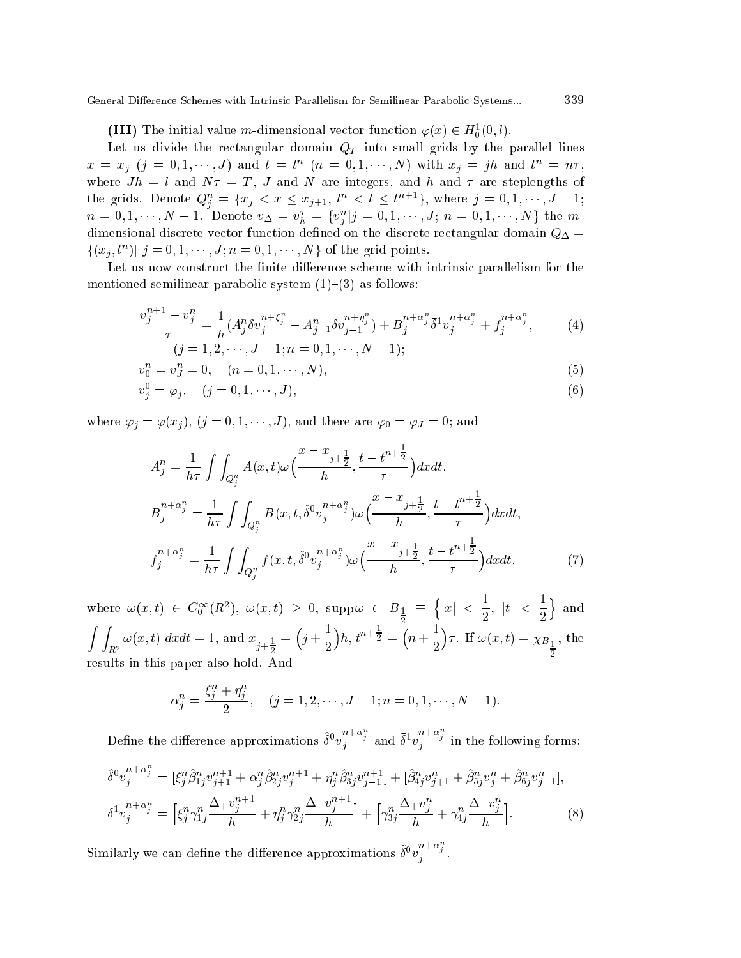**(III)** The initial value m-dimensional vector function  $\varphi(x) \in H_0^1(0, l)$ .

Let us divide the rectangular domain  $Q_T$  into small grids by the parallel lines  $x = x_j$   $(j = 0, 1, \dots, J)$  and  $t = t^n$   $(n = 0, 1, \dots, N)$  with  $x_j = jh$  and  $t^n = n\tau$ , where  $Jh = l$  and  $N\tau = T$ , J and N are integers, and h and  $\tau$  are steplengths of the grids. Denote  $Q_i^n = \{x_j \le x \le x_{j+1}, t^n \le t \le t^{n+1}\},\$  where  $j = 0, 1, \dots, J-1;$  $n=0,1,\cdots,N-1.$  Denote  $v_{\Delta}=v_{h}^{\tau}=\{v_{i}^{n}|j=0,1,\cdots,J;\ n=0,1,\cdots,N\}$  the mdimensional discrete vector function defined on the discrete rectangular domain  $Q_{\Delta}$  =  $\{(x_i, t^n)| j = 0, 1, \dots, J; n = 0, 1, \dots, N\}$  of the grid points.

Let us now construct the finite difference scheme with intrinsic parallelism for the mentioned semilinear parabolic system  $(1)-(3)$  as follows:

$$
\frac{v_j^{n+1} - v_j^n}{\tau} = \frac{1}{h} (A_j^n \delta v_j^{n+\xi_j^n} - A_{j-1}^n \delta v_{j-1}^{n+\eta_j^n}) + B_j^{n+\alpha_j^n} \bar{\delta}^1 v_j^{n+\alpha_j^n} + f_j^{n+\alpha_j^n},
$$
\n(4)\n  
\n(j = 1, 2, \cdots, J - 1; n = 0, 1, \cdots, N - 1);

$$
v_0^n = v_J^n = 0, \quad (n = 0, 1, \cdots, N), \tag{5}
$$

$$
v_j^0 = \varphi_j, \quad (j = 0, 1, \cdots, J), \tag{6}
$$

where  $\varphi_j = \varphi(x_j)$ ,  $(j = 0, 1, \dots, J)$ , and there are  $\varphi_0 = \varphi_J = 0$ ; and

$$
A_j^n = \frac{1}{h\tau} \int \int_{Q_j^n} A(x, t) \omega\Big(\frac{x - x_{j + \frac{1}{2}}}{h}, \frac{t - t^{n + \frac{1}{2}}}{\tau}\Big) dx dt,
$$
  
\n
$$
B_j^{n + \alpha_j^n} = \frac{1}{h\tau} \int \int_{Q_j^n} B(x, t, \hat{\delta}^0 v_j^{n + \alpha_j^n}) \omega\Big(\frac{x - x_{j + \frac{1}{2}}}{h}, \frac{t - t^{n + \frac{1}{2}}}{\tau}\Big) dx dt,
$$
  
\n
$$
f_j^{n + \alpha_j^n} = \frac{1}{h\tau} \int \int_{Q_j^n} f(x, t, \tilde{\delta}^0 v_j^{n + \alpha_j^n}) \omega\Big(\frac{x - x_{j + \frac{1}{2}}}{h}, \frac{t - t^{n + \frac{1}{2}}}{\tau}\Big) dx dt,
$$
\n(7)

where  $\omega(x,t)\;\in\; C_0^\infty(R^2),\;\omega(x,t)\;\geq\;0,\;{\rm supp}\,\omega\;\subset\;B_{\textstyle\frac{1}{2}}\;\equiv\;$ za za zapisani za na za na za na za na za na za na za na za na za na za na za na za na za na za na za na za na  $\{|x|<\frac{1}{x}$  $\frac{1}{2}$ ,  $|t|$  <  $\frac{1}{2}$ <sup>o</sup>  $\int_{R^2} \omega(x, t) \, dx dt = 1$ , and  $x_{j+\frac{1}{2}}$  $(j + \frac{1}{5})$  $\bigg) h, t^{n+\frac{1}{2}} =$  $(n + \frac{1}{n})$  $r.$  If  $\omega(x, t) = \chi_{B_1}$ , the results in this paper also hold. And

$$
\alpha_j^n = \frac{\xi_j^n + \eta_j^n}{2}, \quad (j = 1, 2, \cdots, J-1; n = 0, 1, \cdots, N-1).
$$

Define the difference approximations  $\hat{\delta}^0 v_j^{n+\alpha}$  and  $\bar{\delta}^1 v_j^{n+\alpha}$  $\frac{1}{\sqrt{2}}$  in the following forms:

$$
\hat{\delta}^{0}v_{j}^{n+\alpha_{j}^{n}} = [\xi_{j}^{n}\hat{\beta}_{1j}^{n}v_{j+1}^{n+1} + \alpha_{j}^{n}\hat{\beta}_{2j}^{n}v_{j}^{n+1} + \eta_{j}^{n}\hat{\beta}_{3j}^{n}v_{j-1}^{n+1}] + [\hat{\beta}_{4j}^{n}v_{j+1}^{n} + \hat{\beta}_{5j}^{n}v_{j}^{n} + \hat{\beta}_{6j}^{n}v_{j-1}^{n}],
$$
  
\n
$$
\bar{\delta}^{1}v_{j}^{n+\alpha_{j}^{n}} = [\xi_{j}^{n}\gamma_{1j}^{n}\frac{\Delta + v_{j}^{n+1}}{h} + \eta_{j}^{n}\gamma_{2j}^{n}\frac{\Delta - v_{j}^{n+1}}{h}] + [\gamma_{3j}^{n}\frac{\Delta + v_{j}^{n}}{h} + \gamma_{4j}^{n}\frac{\Delta - v_{j}^{n}}{h}].
$$
\n(8)

Similarly we can define the difference approximations  $\tilde{\delta}^0 v_i^{n+\alpha_j}$ <sup>j</sup> .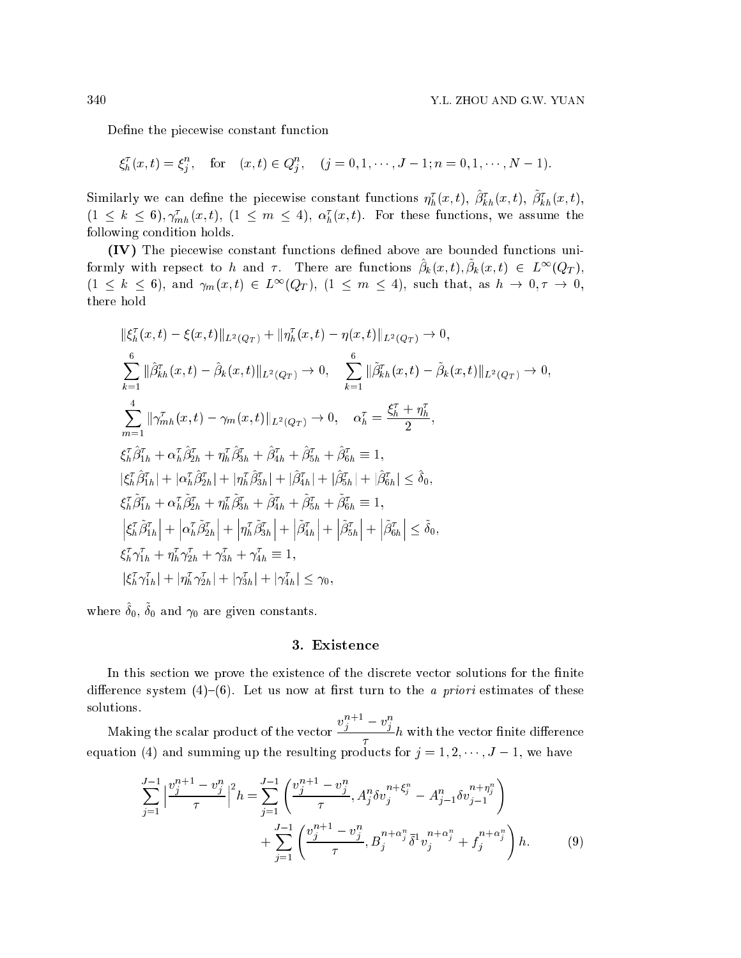Define the piecewise constant function

 $\xi_h^{\tau}(x,t) = \xi_i^n, \quad \text{for} \quad (x,t) \in Q_i^n, \quad (j = 0, 1, \cdots, J-1; n = 0, 1, \cdots, N-1).$ <sup>j</sup> <sup>j</sup>

Similarly we can define the piecewise constant functions  $\eta_h^{\tau}(x,t)$ ,  $\beta_{kh}^{\tau}(x,t)$ ,  $\beta_{kh}^{\tau}(x,t)$ ,  $(1 \leq k \leq 6), \gamma_{mh}^{\tau}(x, t), (1 \leq m \leq 4), \alpha_h^{\tau}(x, t).$  For these functions, we assume the following ondition holds.

(IV) The pie
ewise onstant fun
tions dened above are bounded fun
tions uniformly with repsect to h and  $\tau$ . There are functions  $\beta_k(x, t), \beta_k(x, t) \in L^{\infty}(Q_T)$ ,  $(1 \leq k \leq 6)$ , and  $\gamma_m(x,t) \in L^{\infty}(Q_T)$ ,  $(1 \leq m \leq 4)$ , such that, as  $h \to 0, \tau \to 0$ , there hold

$$
\begin{split}\n&\|\xi_{h}^{\tau}(x,t) - \xi(x,t)\|_{L^{2}(Q_{T})} + \|\eta_{h}^{\tau}(x,t) - \eta(x,t)\|_{L^{2}(Q_{T})} \to 0, \\
&\sum_{k=1}^{6} \|\hat{\beta}_{kh}^{\tau}(x,t) - \hat{\beta}_{k}(x,t)\|_{L^{2}(Q_{T})} \to 0, \quad \sum_{k=1}^{6} \|\tilde{\beta}_{kh}^{\tau}(x,t) - \tilde{\beta}_{k}(x,t)\|_{L^{2}(Q_{T})} \to 0, \\
&\sum_{m=1}^{4} \|\gamma_{mh}^{\tau}(x,t) - \gamma_{m}(x,t)\|_{L^{2}(Q_{T})} \to 0, \quad \alpha_{h}^{\tau} = \frac{\xi_{h}^{\tau} + \eta_{h}^{\tau}}{2}, \\
&\xi_{h}^{\tau}\hat{\beta}_{1h}^{\tau} + \alpha_{h}^{\tau}\hat{\beta}_{2h}^{\tau} + \eta_{h}^{\tau}\hat{\beta}_{3h}^{\tau} + \hat{\beta}_{4h}^{\tau} + \hat{\beta}_{5h}^{\tau} + \hat{\beta}_{6h}^{\tau} \equiv 1, \\
|\xi_{h}^{\tau}\hat{\beta}_{1h}^{\tau}| + |\alpha_{h}^{\tau}\hat{\beta}_{2h}^{\tau}| + |\eta_{h}^{\tau}\hat{\beta}_{3h}^{\tau}| + |\hat{\beta}_{4h}^{\tau}| + |\hat{\beta}_{5h}^{\tau}| + |\hat{\beta}_{6h}^{\tau}| \leq \delta_{0}, \\
&\xi_{h}^{\tau}\tilde{\beta}_{1h}^{\tau} + \alpha_{h}^{\tau}\tilde{\beta}_{2h}^{\tau} + \eta_{h}^{\tau}\tilde{\beta}_{3h}^{\tau} + \tilde{\beta}_{4h}^{\tau} + \tilde{\beta}_{5h}^{\tau} + \tilde{\beta}_{6h}^{\tau} \equiv 1, \\
&\left|\xi_{h}^{\tau}\tilde{\beta}_{1h}^{\tau}| + \left|\alpha_{h}^{\tau}\tilde{\beta}_{2h}^{\tau}\right| + \left|\eta_{h}^{\tau}\tilde{\beta}_{3h}^{\tau}\right| + \left|\tilde{\beta}_{4h}^{\tau}\right| + \left|\tilde{\beta}_{5h}^{\tau}\right| + \left|\tilde{\beta}_{6h}^{\tau}\right| \leq \delta_{0}, \\
&\xi_{h}^{\tau}\gamma_{1h}^{\tau}
$$

where  $\delta_0$ ,  $\delta_0$  and  $\gamma_0$  are given constants.

## 3. Existen
e

In this section we prove the existence of the discrete vector solutions for the finite difference system  $(4)$ – $(6)$ . Let us now at first turn to the *a priori* estimates of these solutions.

Making the s
alar produ
t of the ve
tor  $v_j^{\dots} = v_j^n$  $\frac{1}{\tau}h$  with the vector finite difference equation (4) and summing up the resulting products for  $j = 1, 2, \dots, J - 1$ , we have

$$
\sum_{j=1}^{J-1} \left| \frac{v_j^{n+1} - v_j^n}{\tau} \right|^2 h = \sum_{j=1}^{J-1} \left( \frac{v_j^{n+1} - v_j^n}{\tau}, A_j^n \delta v_j^{n+\xi_j^n} - A_{j-1}^n \delta v_{j-1}^{n+\eta_j^n} \right) + \sum_{j=1}^{J-1} \left( \frac{v_j^{n+1} - v_j^n}{\tau}, B_j^{n+\alpha_j^n} \delta^1 v_j^{n+\alpha_j^n} + f_j^{n+\alpha_j^n} \right) h.
$$
 (9)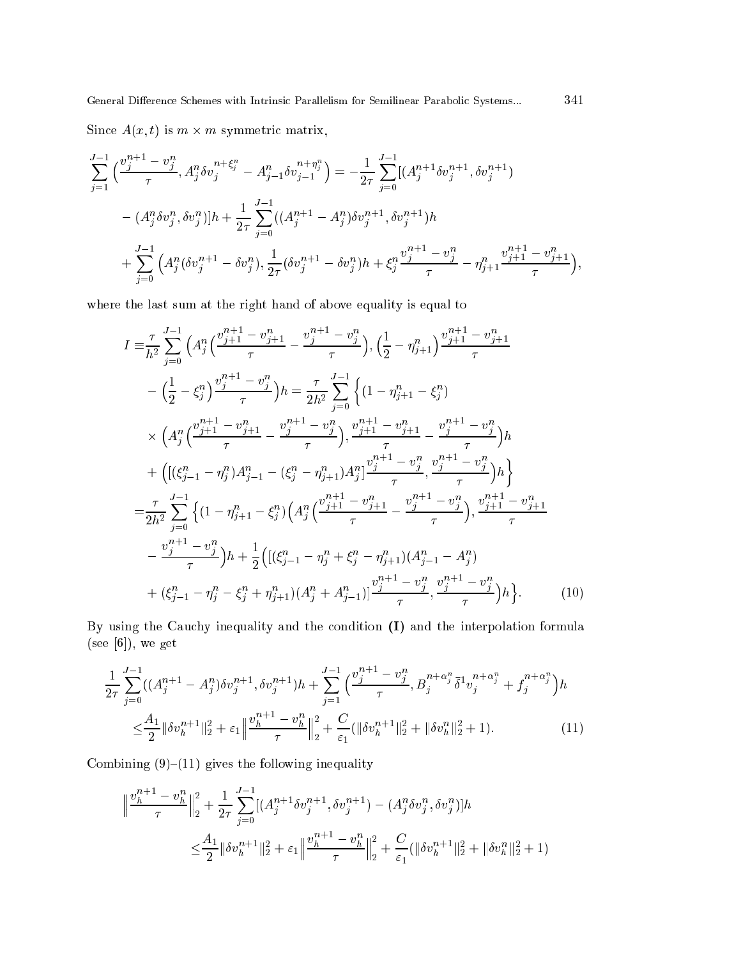Since  $A(x, t)$  is  $m \times m$  symmetric matrix,

$$
\sum_{j=1}^{J-1} \left( \frac{v_j^{n+1} - v_j^n}{\tau}, A_j^n \delta v_j^{n+\xi_j^n} - A_{j-1}^n \delta v_{j-1}^{n+\eta_j^n} \right) = -\frac{1}{2\tau} \sum_{j=0}^{J-1} [(A_j^{n+1} \delta v_j^{n+1}, \delta v_j^{n+1})
$$
  

$$
- (A_j^n \delta v_j^n, \delta v_j^n)]h + \frac{1}{2\tau} \sum_{j=0}^{J-1} ((A_j^{n+1} - A_j^n) \delta v_j^{n+1}, \delta v_j^{n+1})h
$$
  

$$
+ \sum_{j=0}^{J-1} \left( A_j^n (\delta v_j^{n+1} - \delta v_j^n), \frac{1}{2\tau} (\delta v_j^{n+1} - \delta v_j^n)h + \xi_j^n \frac{v_j^{n+1} - v_j^n}{\tau} - \eta_{j+1}^n \frac{v_{j+1}^{n+1} - v_{j+1}^n}{\tau} \right),
$$

where the last sum at the right hand of above equality is equal to

$$
I = \frac{\tau}{h^2} \sum_{j=0}^{J-1} \left( A_j^n \left( \frac{v_{j+1}^{n+1} - v_{j+1}^n}{\tau} - \frac{v_j^{n+1} - v_j^n}{\tau} \right), \left( \frac{1}{2} - \eta_{j+1}^n \right) \frac{v_{j+1}^{n+1} - v_{j+1}^n}{\tau} - \left( \frac{1}{2} - \xi_j^n \right) \frac{v_j^{n+1} - v_j^n}{\tau} \right) h = \frac{\tau}{2h^2} \sum_{j=0}^{J-1} \left\{ \left( 1 - \eta_{j+1}^n - \xi_j^n \right) \right. \\ \times \left( A_j^n \left( \frac{v_{j+1}^{n+1} - v_{j+1}^n}{\tau} - \frac{v_j^{n+1} - v_j^n}{\tau} \right), \frac{v_{j+1}^{n+1} - v_{j+1}^n}{\tau} - \frac{v_j^{n+1} - v_j^n}{\tau} \right) h + \left( \left[ (\xi_{j-1}^n - \eta_j^n) A_{j-1}^n - (\xi_j^n - \eta_{j+1}^n) A_j^n \right] \frac{v_j^{n+1} - v_j^n}{\tau}, \frac{v_j^{n+1} - v_j^n}{\tau} \right) h \right\}
$$
  

$$
= \frac{\tau}{2h^2} \sum_{j=0}^{J-1} \left\{ \left( 1 - \eta_{j+1}^n - \xi_j^n \right) \left( A_j^n \left( \frac{v_{j+1}^{n+1} - v_{j+1}^n}{\tau} - \frac{v_j^{n+1} - v_j^n}{\tau} \right), \frac{v_{j+1}^{n+1} - v_{j+1}^n}{\tau} - \frac{v_j^{n+1} - v_j^n}{\tau} \right) h + \frac{1}{2} \left( \left[ (\xi_{j-1}^n - \eta_j^n + \xi_j^n - \eta_{j+1}^n) (A_{j-1}^n - A_j^n) \right. \\ \left. + (\xi_{j-1}^n - \eta_j^n - \xi_j^n + \eta_{j+1}^n) (A_j^n + A_{j-1}^n) \right] \frac{v_j^{n+1} - v_j^n}{\tau}, \frac{v_j^{n+1} - v_j^n}{\tau} \right) h \right\}.
$$

By using the Cauchy inequality and the condition (I) and the interpolation formula (see  $[6]$ ), we get

$$
\frac{1}{2\tau} \sum_{j=0}^{J-1} ((A_j^{n+1} - A_j^n) \delta v_j^{n+1}, \delta v_j^{n+1}) h + \sum_{j=1}^{J-1} \left( \frac{v_j^{n+1} - v_j^n}{\tau}, B_j^{n+\alpha_j^n} \bar{\delta}^1 v_j^{n+\alpha_j^n} + f_j^{n+\alpha_j^n} \right) h \n\leq \frac{A_1}{2} \|\delta v_h^{n+1}\|_2^2 + \varepsilon_1 \left\| \frac{v_h^{n+1} - v_h^n}{\tau} \right\|_2^2 + \frac{C}{\varepsilon_1} (\|\delta v_h^{n+1}\|_2^2 + \|\delta v_h^n\|_2^2 + 1).
$$
\n(11)

Combining  $(9)-(11)$  gives the following inequality

$$
\begin{aligned} \left\| \frac{v_h^{n+1} - v_h^n}{\tau} \right\|_2^2 &+ \frac{1}{2\tau} \sum_{j=0}^{J-1} [(A_j^{n+1} \delta v_j^{n+1}, \delta v_j^{n+1}) - (A_j^n \delta v_j^n, \delta v_j^n)] h \\ &\leq & \frac{A_1}{2} \|\delta v_h^{n+1}\|_2^2 + \varepsilon_1 \left\| \frac{v_h^{n+1} - v_h^n}{\tau} \right\|_2^2 + \frac{C}{\varepsilon_1} (\|\delta v_h^{n+1}\|_2^2 + \|\delta v_h^n\|_2^2 + 1) \end{aligned}
$$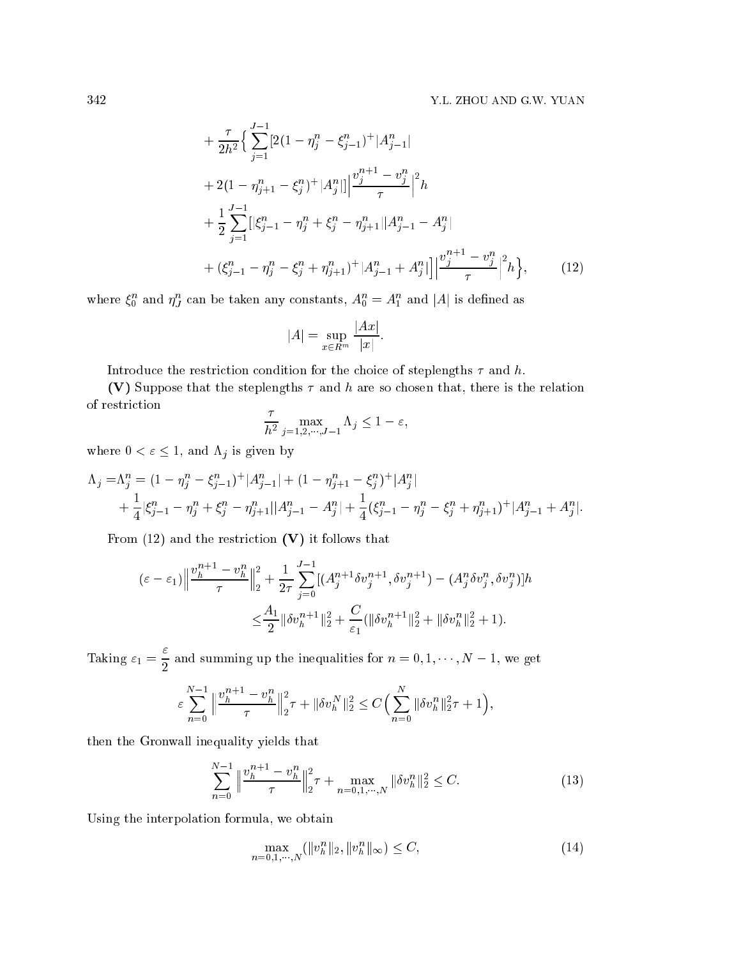$$
+\frac{\tau}{2h^2} \Big\{ \sum_{j=1}^{J-1} \left[ 2(1 - \eta_j^n - \xi_{j-1}^n)^+ |A_{j-1}^n| \right] + 2(1 - \eta_{j+1}^n - \xi_j^n)^+ |A_j^n| \Big\| \frac{v_j^{n+1} - v_j^n}{\tau} \Big\|^2 h + \frac{1}{2} \sum_{j=1}^{J-1} \left[ |\xi_{j-1}^n - \eta_j^n + \xi_j^n - \eta_{j+1}^n| |A_{j-1}^n - A_j^n| \right] + \left( \xi_{j-1}^n - \eta_j^n - \xi_j^n + \eta_{j+1}^n \right)^+ |A_{j-1}^n + A_j^n| \Big\| \frac{v_j^{n+1} - v_j^n}{\tau} \Big\|^2 h \Big\}, \qquad (12)
$$

where  $\xi_0^n$  and  $\eta_J^n$  can be taken any constants,  $A_0^n = A_1^n$  and |A| is defined as

$$
|A| = \sup_{x \in R^m} \frac{|Ax|}{|x|}.
$$

Introduce the restriction condition for the choice of steplengths  $\tau$  and h.

(V) Suppose that the steplengths  $\tau$  and h are so chosen that, there is the relation of restriction

$$
\frac{\tau}{h^2} \max_{j=1,2,\cdots,J-1} \Lambda_j \le 1 - \varepsilon,
$$

where  $0 < \varepsilon \leq 1$ , and  $\Lambda_j$  is given by

$$
\Lambda_j = \Lambda_j^n = (1 - \eta_j^n - \xi_{j-1}^n)^+ |A_{j-1}^n| + (1 - \eta_{j+1}^n - \xi_j^n)^+ |A_j^n| + \frac{1}{4} |\xi_{j-1}^n - \eta_j^n + \xi_j^n - \eta_{j+1}^n| |A_{j-1}^n - A_j^n| + \frac{1}{4} (\xi_{j-1}^n - \eta_j^n - \xi_j^n + \eta_{j+1}^n)^+ |A_{j-1}^n + A_j^n|.
$$

From  $(12)$  and the restriction  $(V)$  it follows that

$$
\begin{split} \left(\varepsilon - \varepsilon_1\right) & \left\|\frac{v_h^{n+1} - v_h^n}{\tau}\right\|_2^2 + \frac{1}{2\tau} \sum_{j=0}^{J-1} \left[ \left(A_j^{n+1} \delta v_j^{n+1}, \delta v_j^{n+1}\right) - \left(A_j^n \delta v_j^n, \delta v_j^n\right) \right] h \\ &\leq \frac{A_1}{2} \|\delta v_h^{n+1}\|_2^2 + \frac{C}{\varepsilon_1} \left( \|\delta v_h^{n+1}\|_2^2 + \|\delta v_h^n\|_2^2 + 1 \right). \end{split}
$$

Taking  $\varepsilon_1 = \frac{\varepsilon}{2}$  and summing up the inequalities for  $n = 0, 1, \dots, N - 1$ , we get

$$
\varepsilon \sum_{n=0}^{N-1} \left\| \frac{v_h^{n+1} - v_h^n}{\tau} \right\|_2^2 \tau + \|\delta v_h^N\|_2^2 \le C \Big( \sum_{n=0}^N \|\delta v_h^n\|_2^2 \tau + 1 \Big),
$$

then the Gronwall inequality yields that

$$
\sum_{n=0}^{N-1} \left\| \frac{v_h^{n+1} - v_h^n}{\tau} \right\|_2^2 \tau + \max_{n=0,1,\cdots,N} \|\delta v_h^n\|_2^2 \le C. \tag{13}
$$

Using the interpolation formula, we obtain

$$
\max_{n=0,1,\cdots,N} (\|v_h^n\|_2, \|v_h^n\|_\infty) \le C,\tag{14}
$$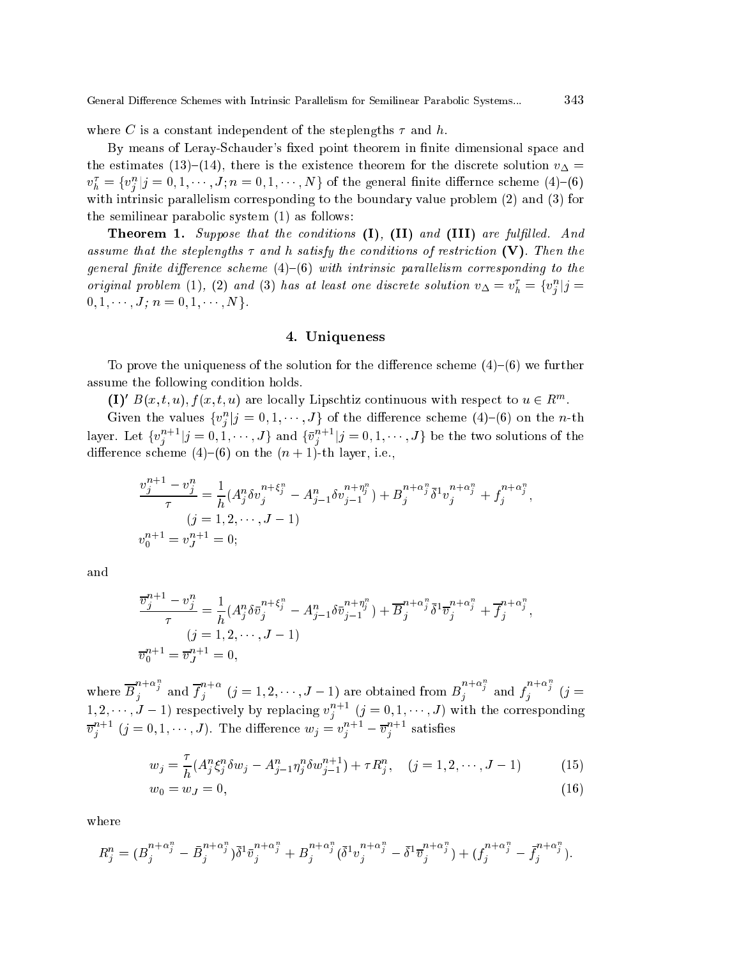where C is a constant independent of the steplengths  $\tau$  and h.

By means of Leray-Schauder's fixed point theorem in finite dimensional space and the estimates (13)–(14), there is the existence theorem for the discrete solution  $v_{\Delta} =$  $v_h^{\tau} = \{v_j^n | j = 0, 1, \cdots, J; n = 0, 1, \cdots, N\}$  of the general finite differnce scheme (4)–(6) with intrinsic parallelism corresponding to the boundary value problem (2) and (3) for the semilinear parabolic system  $(1)$  as follows:

**Theorem 1.** Suppose that the conditions  $(I)$ ,  $(II)$  and  $(III)$  are fulfilled. And assume that the steplengths  $\tau$  and h satisfy the conditions of restriction (V). Then the general finite difference scheme  $(4)$ - $(6)$  with intrinsic parallelism corresponding to the original problem (1), (2) and (3) has at least one discrete solution  $v_{\Delta} = v_h^{\tau} = \{v_j^n | j = 1\}$  $0, 1, \cdots, J; n = 0, 1, \cdots, N$ .

### 4. Uniqueness

To prove the uniqueness of the solution for the difference scheme  $(4)-(6)$  we further assume the following condition holds.

 $(1)' B(x, t, u), f(x, t, u)$  are locally Lipschtiz continuous with respect to  $u \in R^m$ .

Given the values  $\{v_i^n | j = 0, 1, \dots, J\}$  of the difference scheme (4)–(6) on the *n*-th layer. Let  $\{v_j^{n+1}|j=0,1,\cdots,J\}$  and  $\{\bar{v}_j^{n+1}|j=0,1,\cdots,J\}$  be the two solutions of the difference scheme (4)–(6) on the  $(n + 1)$ -th layer, i.e.,

$$
\frac{v_j^{n+1} - v_j^n}{\tau} = \frac{1}{h} (A_j^n \delta v_j^{n + \xi_j^n} - A_{j-1}^n \delta v_{j-1}^{n + \eta_j^n}) + B_j^{n + \alpha_j^n} \bar{\delta}^1 v_j^{n + \alpha_j^n} + f_j^{n + \alpha_j^n},
$$
  
\n
$$
(j = 1, 2, \dots, J - 1)
$$
  
\n
$$
v_0^{n+1} = v_J^{n+1} = 0;
$$

and

$$
\frac{\overline{v}_{j}^{n+1} - v_{j}^{n}}{\tau} = \frac{1}{h} (A_{j}^{n} \delta \overline{v}_{j}^{n+\xi_{j}^{n}} - A_{j-1}^{n} \delta \overline{v}_{j-1}^{n+\eta_{j}^{n}}) + \overline{B}_{j}^{n+\alpha_{j}^{n}} \delta^{1} \overline{v}_{j}^{n+\alpha_{j}^{n}} + \overline{f}_{j}^{n+\alpha_{j}^{n}},
$$
  
\n
$$
(j = 1, 2, \cdots, J - 1)
$$
  
\n
$$
\overline{v}_{0}^{n+1} = \overline{v}_{J}^{n+1} = 0,
$$

where  $\overline{B}_i^{n+\alpha_j}$  and  $\overline{f}_i^{n+\alpha}$   $(j = 1, 2, \dots, J-1)$  are obtained from  $B_i^{n+\alpha_j}$  and  $f_i^{n+\alpha_j}$   $(j = 1, 2, \dots, J-1)$  $(1, 2, \dots, J-1)$  respectively by replacing  $v_j^{n+1}$   $(j = 0, 1, \dots, J)$  with the corresponding  $\overline{v}_i^{n+1}$   $(j = 0, 1, \dots, J)$ . The difference  $w_j = v_i^{n+1} - \overline{v}_i^{n+1}$  satisfies

$$
w_j = \frac{\tau}{h} (A_j^n \xi_j^n \delta w_j - A_{j-1}^n \eta_j^n \delta w_{j-1}^{n+1}) + \tau R_j^n, \quad (j = 1, 2, \cdots, J-1)
$$
 (15)

$$
w_0 = w_J = 0,\t\t(16)
$$

where

$$
R_j^n = (B_j^{n+\alpha_j^n} - \bar{B}_j^{n+\alpha_j^n}) \bar{\delta}^1 \bar{v}_j^{n+\alpha_j^n} + B_j^{n+\alpha_j^n} (\bar{\delta}^1 v_j^{n+\alpha_j^n} - \bar{\delta}^1 \bar{v}_j^{n+\alpha_j^n}) + (f_j^{n+\alpha_j^n} - \bar{f}_j^{n+\alpha_j^n}).
$$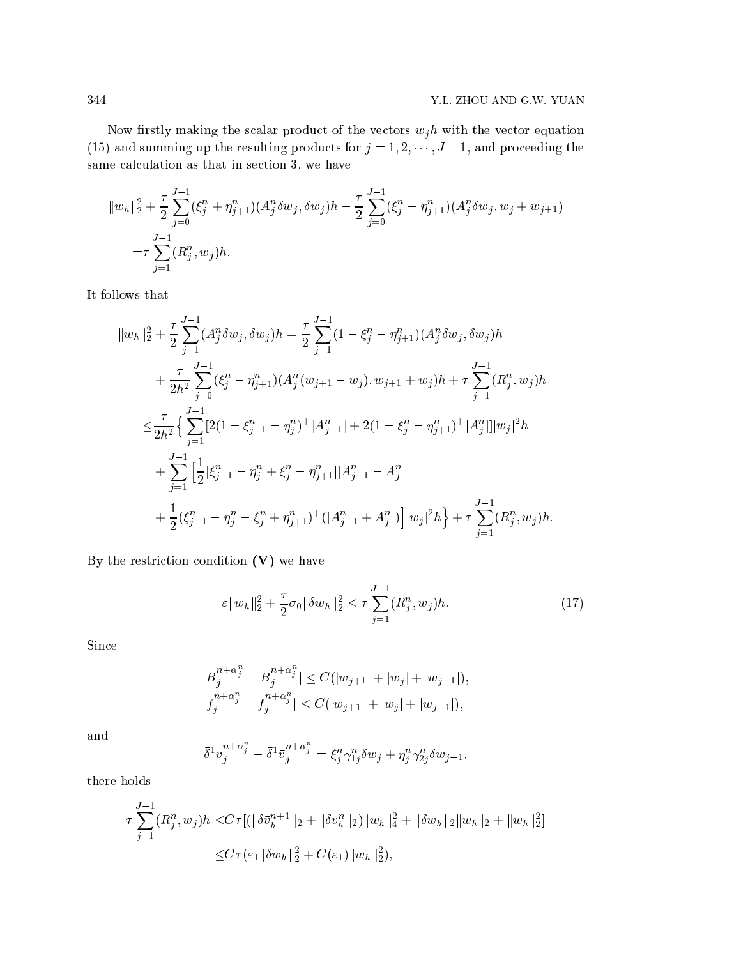Now firstly making the scalar product of the vectors  $w_j h$  with the vector equation (15) and summing up the resulting products for  $j = 1, 2, \dots, J - 1$ , and proceeding the same calculation as that in section 3, we have

$$
||w_h||_2^2 + \frac{\tau}{2} \sum_{j=0}^{J-1} (\xi_j^n + \eta_{j+1}^n) (A_j^n \delta w_j, \delta w_j) h - \frac{\tau}{2} \sum_{j=0}^{J-1} (\xi_j^n - \eta_{j+1}^n) (A_j^n \delta w_j, w_j + w_{j+1})
$$
  
=  $\tau \sum_{j=1}^{J-1} (R_j^n, w_j) h.$ 

It follows that

$$
||w_h||_2^2 + \frac{\tau}{2} \sum_{j=1}^{J-1} (A_j^n \delta w_j, \delta w_j) h = \frac{\tau}{2} \sum_{j=1}^{J-1} (1 - \xi_j^n - \eta_{j+1}^n) (A_j^n \delta w_j, \delta w_j) h + \frac{\tau}{2h^2} \sum_{j=0}^{J-1} (\xi_j^n - \eta_{j+1}^n) (A_j^n (w_{j+1} - w_j), w_{j+1} + w_j) h + \tau \sum_{j=1}^{J-1} (R_j^n, w_j) h \n\leq \frac{\tau}{2h^2} \Big\{ \sum_{j=1}^{J-1} [2(1 - \xi_{j-1}^n - \eta_j^n)^+ |A_{j-1}^n| + 2(1 - \xi_j^n - \eta_{j+1}^n)^+ |A_j^n|] |w_j|^2 h + \sum_{j=1}^{J-1} \Big[ \frac{1}{2} |\xi_{j-1}^n - \eta_j^n + \xi_j^n - \eta_{j+1}^n| |A_{j-1}^n - A_j^n| + \frac{1}{2} (\xi_{j-1}^n - \eta_j^n - \xi_j^n + \eta_{j+1}^n)^+ (|A_{j-1}^n + A_j^n|) \Big] |w_j|^2 h \Big\} + \tau \sum_{j=1}^{J-1} (R_j^n, w_j) h.
$$

By the restriction condition  $(V)$  we have

$$
\varepsilon \|w_h\|_2^2 + \frac{\tau}{2}\sigma_0 \|\delta w_h\|_2^2 \le \tau \sum_{j=1}^{J-1} (R_j^n, w_j)h. \tag{17}
$$

Sin
e

$$
|B_j^{n+\alpha_j^n} - \bar{B}_j^{n+\alpha_j^n}| \le C(|w_{j+1}| + |w_j| + |w_{j-1}|),
$$
  

$$
|f_j^{n+\alpha_j^n} - \bar{f}_j^{n+\alpha_j^n}| \le C(|w_{j+1}| + |w_j| + |w_{j-1}|),
$$

and

$$
\bar{\delta}^1 v_j^{n+\alpha_j^n}-\bar{\delta}^1\bar{v}_j^{n+\alpha_j^n}=\xi_j^n\gamma_{1j}^n\delta w_j+\eta_j^n\gamma_{2j}^n\delta w_{j-1},
$$

there holds

$$
\tau \sum_{j=1}^{J-1} (R_j^n, w_j) h \le C \tau [(\|\delta \bar{v}_h^{n+1}\|_2 + \|\delta v_h^n\|_2) \|w_h\|_4^2 + \|\delta w_h\|_2 \|w_h\|_2 + \|w_h\|_2^2]
$$
  

$$
\le C \tau (\varepsilon_1 \|\delta w_h\|_2^2 + C(\varepsilon_1) \|w_h\|_2^2),
$$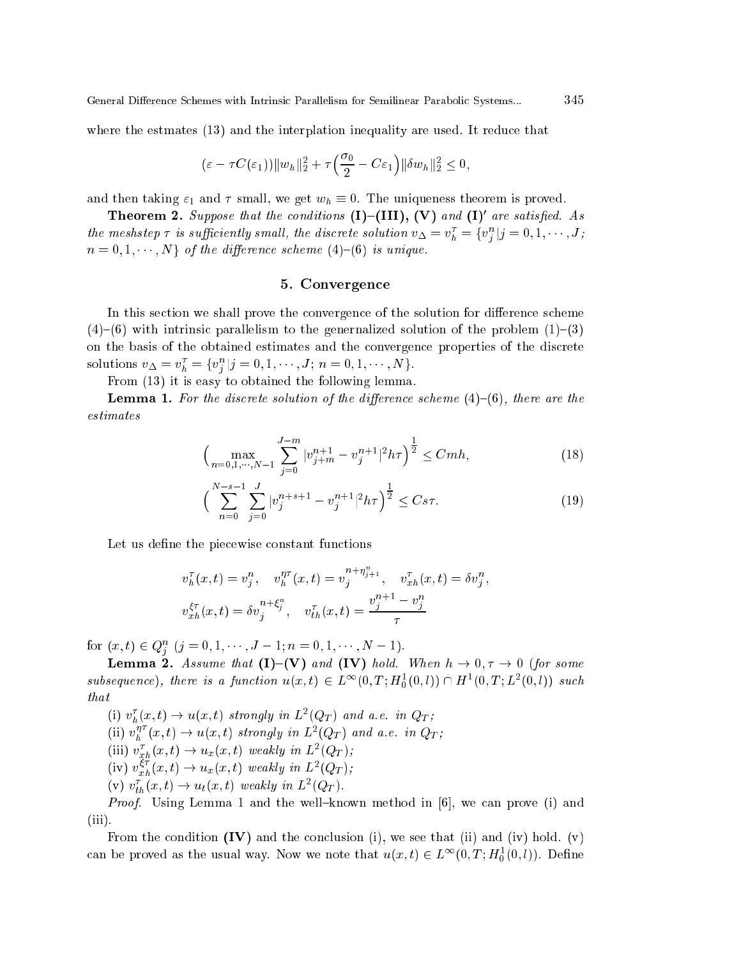where the estmates (13) and the interplation inequality are used. It reduce that

$$
(\varepsilon-\tau C(\varepsilon_1))\|w_h\|_2^2+\tau\Big(\frac{\sigma_0}{2}-C\varepsilon_1\Big)\|\delta w_h\|_2^2\leq 0,
$$

and then taking  $\varepsilon_1$  and  $\tau$  small, we get  $w_h \equiv 0$ . The uniqueness theorem is proved.

**Theorem 2.** Suppose that the conditions  $(I)$ - $(III)$ ,  $(V)$  and  $(I)'$  are satisfied. As the meshstep  $\tau$  is sufficiently small, the discrete solution  $v_{\Delta} = v_h^{\tau} = \{v_j^n | j = 0, 1, \cdots, J_j\}$  $n = 0, 1, \dots, N$  of the difference scheme (4)-(6) is unique.

## 5. Convergence

In this section we shall prove the convergence of the solution for difference scheme  $(4)$ – $(6)$  with intrinsic parallelism to the generialized solution of the problem  $(1)$ – $(3)$ on the basis of the obtained estimates and the convergence properties of the discrete solutions  $v_{\Delta} = v_h^{\tau} = \{v_j^n | j = 0, 1, \dots, J; n = 0, 1, \dots, N\}.$ 

From (13) it is easy to obtained the following lemma.

**Lemma 1.** For the discrete solution of the difference scheme  $(4)-(6)$ , there are the  $estimates$ 

$$
\left(\max_{n=0,1,\cdots,N-1} \sum_{j=0}^{J-m} |v_{j+m}^{n+1} - v_j^{n+1}|^2 h\tau\right)^{\frac{1}{2}} \le Cmh,\tag{18}
$$

$$
\left(\sum_{n=0}^{N-s-1} \sum_{j=0}^{J} |v_j^{n+s+1} - v_j^{n+1}|^2 h\tau\right)^{\frac{1}{2}} \leq C s\tau.
$$
\n(19)

Let us define the piecewise constant functions

$$
v_h^{\tau}(x,t) = v_j^n, \quad v_h^{\eta \tau}(x,t) = v_j^{n+\eta_{j+1}^n}, \quad v_{xh}^{\tau}(x,t) = \delta v_j^n,
$$
  

$$
v_{xh}^{\xi \tau}(x,t) = \delta v_j^{n+\xi_j^n}, \quad v_{th}^{\tau}(x,t) = \frac{v_j^{n+1} - v_j^n}{\tau}
$$

for  $(x, t) \in Q_i^n$   $(j = 0, 1, \dots, J - 1; n = 0, 1, \dots, N - 1).$ 

**Lemma 2.** Assume that (I)–(V) and (IV) hold. When  $h \to 0, \tau \to 0$  (for some subsequence), there is a function  $u(x,t) \in L^{\infty}(0,T; H_0^1(0,l)) \cap H^1(0,T; L^2(0,l))$  such  $that$ 

(i)  $v_h^{\tau}(x,t) \rightarrow u(x,t)$  strongly in  $L^2(Q_T)$  and a.e. in  $Q_T$ ;

(ii)  $v_h^{\eta \tau}(x, t) \to u(x, t)$  strongly in  $L^2(Q_T)$  and a.e. in  $Q_T$ ;<br>
(iii)  $v_{xh}^{\tau}(x, t) \to u_x(x, t)$  weakly in  $L^2(Q_T)$ ;<br>
(iv)  $v_{xh}^{\xi \tau}(x, t) \to u_x(x, t)$  weakly in  $L^2(Q_T)$ ;

- 
- 
- (v)  $v_{th}^{\tau}(x,t) \rightarrow u_t(x,t)$  weakly in  $L^2(Q_T)$ .

*Proof.* Using Lemma 1 and the well-known method in [6], we can prove (i) and  $(iii)$ .

From the condition  $(IV)$  and the conclusion (i), we see that (ii) and (iv) hold. (v) can be proved as the usual way. Now we note that  $u(x,t) \in L^{\infty}(0,T;H_0^1(0,l))$ . Define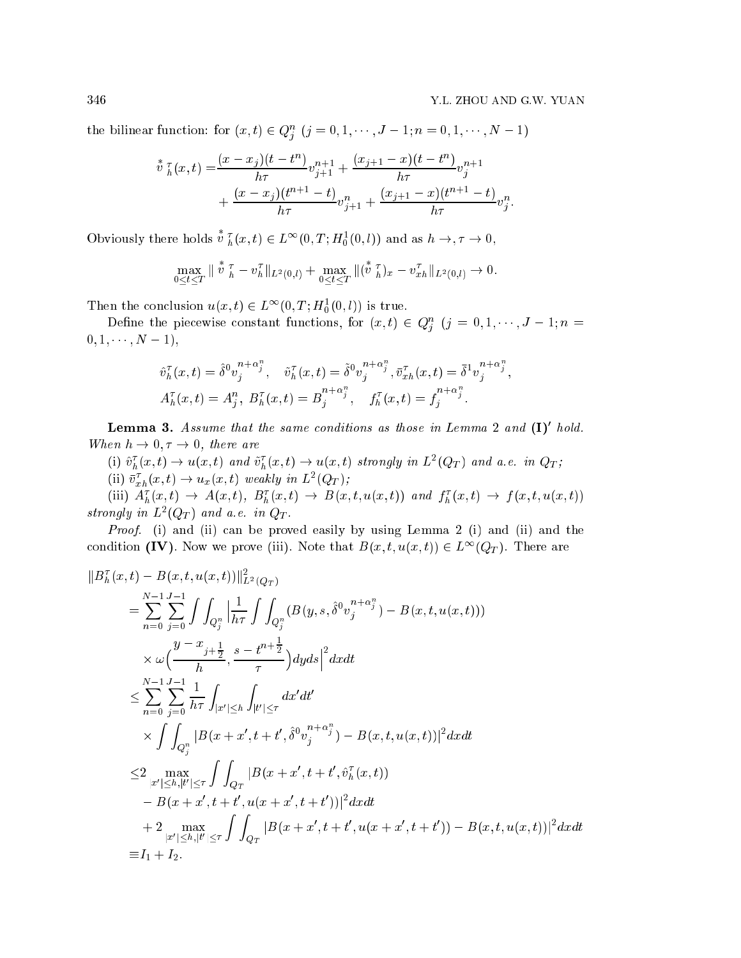the bilinear function: for  $(x, t) \in Q_i^n$   $(j = 0, 1, \dots, J - 1; n = 0, 1, \dots, N - 1)$ 

$$
\begin{aligned}\n\overset{*}{v}\,{}^{\tau}_{h}(x,t) &= \frac{(x-x_j)(t-t^n)}{h\tau}v_{j+1}^{n+1} + \frac{(x_{j+1}-x)(t-t^n)}{h\tau}v_j^{n+1} \\
&\quad + \frac{(x-x_j)(t^{n+1}-t)}{h\tau}v_{j+1}^{n} + \frac{(x_{j+1}-x)(t^{n+1}-t)}{h\tau}v_j^{n}.\n\end{aligned}
$$

Obviously there holds  $v_h^T(x,t) \in L^\infty(0,T; H_0^1(0,l))$  and as  $h \to, \tau \to 0$ ,

$$
\max_{0 \leq t \leq T} \|\mathring{v}\|_{h}^{\tau} - v_{h}^{\tau}\|_{L^{2}(0,l)} + \max_{0 \leq t \leq T} \|(\mathring{v}\|_{h}^{\tau})_{x} - v_{xh}^{\tau}\|_{L^{2}(0,l)} \to 0.
$$

Then the conclusion  $u(x,t) \in L^{\infty}(0,T; H_0^1(0,l))$  is true.

Define the piecewise constant functions, for  $(x,t) \in Q_i^n$   $(j = 0, 1, \dots, J-1; n =$  $0, 1, \cdots, N - 1),$ 

$$
\hat{v}_h^{\tau}(x,t) = \hat{\delta}^0 v_j^{n+\alpha_j^n}, \quad \tilde{v}_h^{\tau}(x,t) = \tilde{\delta}^0 v_j^{n+\alpha_j^n}, \quad \bar{v}_{xh}^{\tau}(x,t) = \bar{\delta}^1 v_j^{n+\alpha_j^n},
$$
  

$$
A_h^{\tau}(x,t) = A_j^n, \ B_h^{\tau}(x,t) = B_j^{n+\alpha_j^n}, \quad f_h^{\tau}(x,t) = f_j^{n+\alpha_j^n}.
$$

**Lemma 5.** Assume that the same conditions as those in Lemma  $\boldsymbol{z}$  and  $(\boldsymbol{1})$  hold. When  $h \to 0, \tau \to 0$ , there are

(i)  $\hat{v}_h^{\tau}(x,t) \to u(x,t)$  and  $\tilde{v}_h^{\tau}(x,t) \to u(x,t)$  strongly in  $L^2(Q_T)$  and a.e. in  $Q_T$ ;

(ii)  $\bar{v}_{xh}^{\tau}(x,t) \rightarrow u_x(x,t)$  weakly in  $L^2(Q_T)$ ;

(iii)  $A_h^{\tau}(x,t) \rightarrow A(x,t), B_h^{\tau}(x,t) \rightarrow B(x,t,u(x,t))$  and  $f_h^{\tau}(x,t) \rightarrow f(x,t,u(x,t))$ strongly in  $L^2(Q_T)$  and a.e. in  $Q_T$ .

Proof. (i) and (ii) can be proved easily by using Lemma 2 (i) and (ii) and the condition (IV). Now we prove (iii). Note that  $B(x, t, u(x, t)) \in L^{\infty}(Q_T)$ . There are

$$
||B_h^{\tau}(x,t) - B(x,t,u(x,t))||_{L^2(Q_T)}^2
$$
  
\n
$$
= \sum_{n=0}^{N-1} \sum_{j=0}^{J-1} \int \int_{Q_j^n} \left| \frac{1}{h\tau} \int \int_{Q_j^n} (B(y,s,\hat{\delta}^0 v_j^{n+\alpha_j^n}) - B(x,t,u(x,t))) \right|
$$
  
\n
$$
\times \omega \left( \frac{y-x_{j+\frac{1}{2}}}{h}, \frac{s-t^{n+\frac{1}{2}}}{\tau} \right) dy ds \right|^2 dx dt
$$
  
\n
$$
\leq \sum_{n=0}^{N-1} \sum_{j=0}^{J-1} \frac{1}{h\tau} \int_{|x'| \leq h} \int_{|t'| \leq \tau} dx'dt'
$$
  
\n
$$
\times \int \int_{Q_j^n} |B(x+x',t+t',\hat{\delta}^0 v_j^{n+\alpha_j^n}) - B(x,t,u(x,t))|^2 dx dt
$$
  
\n
$$
\leq 2 \max_{|x'| \leq h, |t'| \leq \tau} \int \int_{Q_T} |B(x+x',t+t',\hat{v}_h^{\tau}(x,t))|
$$
  
\n
$$
- B(x+x',t+t',u(x+x',t+t'))|^2 dx dt
$$
  
\n
$$
+ 2 \max_{|x'| \leq h, |t'| \leq \tau} \int \int_{Q_T} |B(x+x',t+t',u(x+x',t+t')) - B(x,t,u(x,t))|^2 dx dt
$$
  
\n
$$
\equiv I_1 + I_2.
$$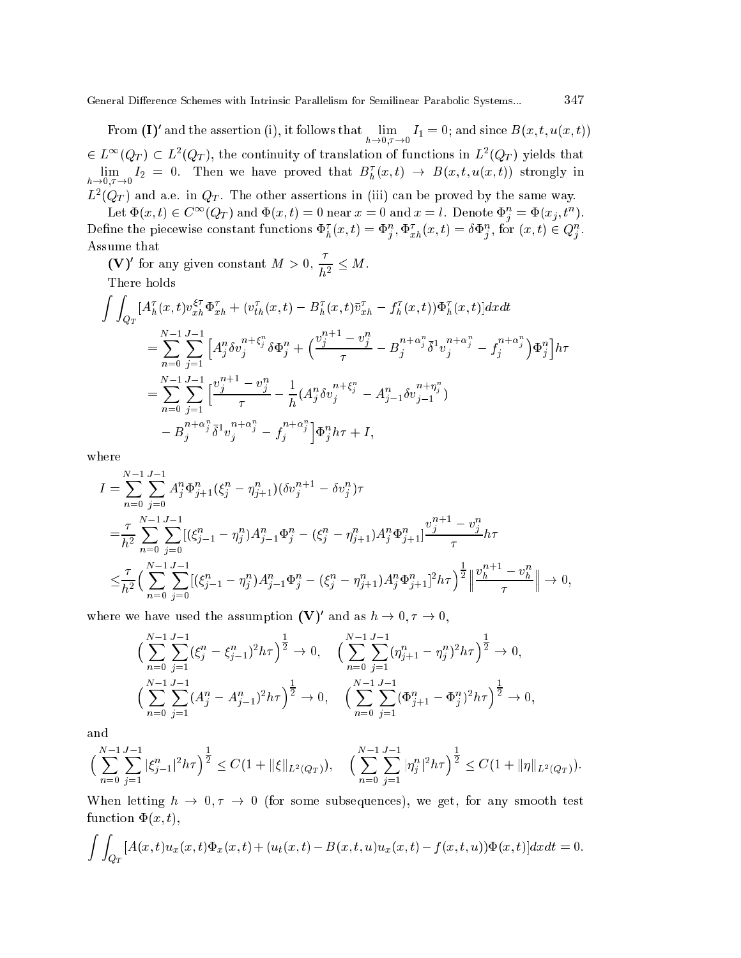From (I)' and the assertion (i), it follows that  $\lim_{h\to 0,\tau\to 0}I_1=0$ ; and since  $B(x,t,u(x,t))$  $\epsilon \in L^{\infty}(Q_T) \subset L^2(Q_T)$ , the continuity of translation of functions in  $L^2(Q_T)$  yields that  $\lim_{h\to 0,\tau\to 0} I_2 = 0$ . Then we have proved that  $B_h^{\tau}(x,t) \to B(x,t,u(x,t))$  strongly in  $L^2(Q_T)$  and a.e. in  $Q_T$ . The other assertions in (iii) can be proved by the same way.

Let  $\Phi(x, t) \in C^{\infty}(Q_T)$  and  $\Phi(x, t) = 0$  near  $x = 0$  and  $x = l$ . Denote  $\Phi_i^n = \Phi(x_j, t^n)$ . Define the piecewise constant functions  $\Phi_h^{\tau}(x,t) = \Phi_i^n, \Phi_{xh}^{\tau}(x,t) = \delta \Phi_i^n$ , for  $(x,t) \in Q_i^n$ . Assume that

(V)' for any given constant  $M > 0$ ,  $\frac{\tau}{h^2} \leq M$ .

There holds

$$
\int \int_{Q_T} [A_h^{\tau}(x,t) v_{xh}^{\xi \tau} \Phi_{xh}^{\tau} + (v_{th}^{\tau}(x,t) - B_h^{\tau}(x,t) \bar{v}_{xh}^{\tau} - f_h^{\tau}(x,t)) \Phi_h^{\tau}(x,t)] dx dt \n= \sum_{n=0}^{N-1} \sum_{j=1}^{J-1} \left[ A_j^n \delta v_j^{n+\xi_j^n} \delta \Phi_j^n + \left( \frac{v_j^{n+1} - v_j^n}{\tau} - B_j^{n+\alpha_j^n} \bar{\delta}^1 v_j^{n+\alpha_j^n} - f_j^{n+\alpha_j^n} \right) \Phi_j^n \right] h \tau \n= \sum_{n=0}^{N-1} \sum_{j=1}^{J-1} \left[ \frac{v_j^{n+1} - v_j^n}{\tau} - \frac{1}{h} (A_j^n \delta v_j^{n+\xi_j^n} - A_{j-1}^n \delta v_{j-1}^{n+\eta_j^n}) \right. \n- B_j^{n+\alpha_j^n} \bar{\delta}^1 v_j^{n+\alpha_j^n} - f_j^{n+\alpha_j^n} \right] \Phi_j^n h \tau + I,
$$

where

$$
I = \sum_{n=0}^{N-1} \sum_{j=0}^{J-1} A_j^n \Phi_{j+1}^n (\xi_j^n - \eta_{j+1}^n) (\delta v_j^{n+1} - \delta v_j^n) \tau
$$
  
\n
$$
= \frac{\tau}{h^2} \sum_{n=0}^{N-1} \sum_{j=0}^{J-1} [(\xi_{j-1}^n - \eta_j^n) A_{j-1}^n \Phi_j^n - (\xi_j^n - \eta_{j+1}^n) A_j^n \Phi_{j+1}^n] \frac{v_j^{n+1} - v_j^n}{\tau} h \tau
$$
  
\n
$$
\leq \frac{\tau}{h^2} \Big( \sum_{n=0}^{N-1} \sum_{j=0}^{J-1} [(\xi_{j-1}^n - \eta_j^n) A_{j-1}^n \Phi_j^n - (\xi_j^n - \eta_{j+1}^n) A_j^n \Phi_{j+1}^n]^2 h \tau \Big)^{\frac{1}{2}} \Big\| \frac{v_j^{n+1} - v_j^n}{\tau} \Big\| \to 0,
$$

where we have used the assumption  $(V)'$  and as  $h \to 0, \tau \to 0$ ,

$$
\left(\sum_{n=0}^{N-1} \sum_{j=1}^{J-1} (\xi_j^n - \xi_{j-1}^n)^2 h \tau \right)^{\frac{1}{2}} \to 0, \quad \left(\sum_{n=0}^{N-1} \sum_{j=1}^{J-1} (\eta_{j+1}^n - \eta_j^n)^2 h \tau \right)^{\frac{1}{2}} \to 0,
$$
  

$$
\left(\sum_{n=0}^{N-1} \sum_{j=1}^{J-1} (A_j^n - A_{j-1}^n)^2 h \tau \right)^{\frac{1}{2}} \to 0, \quad \left(\sum_{n=0}^{N-1} \sum_{j=1}^{J-1} (\Phi_{j+1}^n - \Phi_j^n)^2 h \tau \right)^{\frac{1}{2}} \to 0,
$$

and

$$
\Big(\sum_{n=0}^{N-1}\sum_{j=1}^{J-1}|\xi_{j-1}^n|^2h\tau\Big)^{\frac{1}{2}} \leq C(1+\|\xi\|_{L^2(Q_T)}), \quad \Big(\sum_{n=0}^{N-1}\sum_{j=1}^{J-1}|\eta_j^n|^2h\tau\Big)^{\frac{1}{2}} \leq C(1+\|\eta\|_{L^2(Q_T)}).
$$

When letting  $h \to 0, \tau \to 0$  (for some subsequences), we get, for any smooth test function  $\Phi(x, t)$ ,

$$
\int\int_{Q_T} [A(x,t)u_x(x,t)\Phi_x(x,t) + (u_t(x,t) - B(x,t,u)u_x(x,t) - f(x,t,u))\Phi(x,t)]dxdt = 0.
$$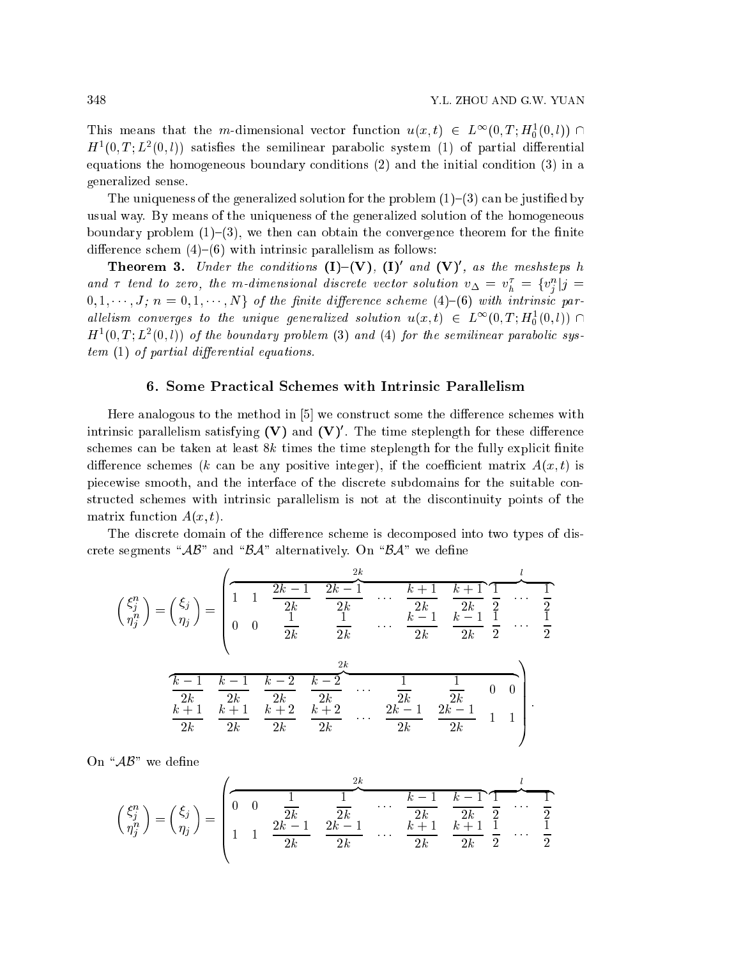This means that the m-dimensional vector function  $u(x,t) \in L^{\infty}(0,T; H_0^1(0,l)) \cap$  $H^1(0,T; L^2(0,l))$  satisfies the semilinear parabolic system (1) of partial differential equations the homogeneous boundary onditions (2) and the initial ondition (3) in a generalized sense.

The uniqueness of the generalized solution for the problem  $(1)$ – $(3)$  can be justified by usual way. By means of the uniqueness of the generalized solution of the homogeneous boundary problem  $(1)$ – $(3)$ , we then can obtain the convergence theorem for the finite difference schem  $(4)$ – $(6)$  with intrinsic parallelism as follows:

**Theorem 3.** Under the conditions  $(I) - (V)$ ,  $(I)'$  and  $(V)'$ , as the meshsteps h and  $\tau$  tend to zero, the m-dimensional discrete vector solution  $v_{\Delta} = v_h^{\tau} = \{v_j^n | j = 1\}$  $0, 1, \dots, J; n = 0, 1, \dots, N$  of the finite difference scheme (4)–(6) with intrinsic parallelism converges to the unique generalized solution  $u(x,t) \in L^{\infty}(0,T; H_0^1(0,l)) \cap$  $H<sup>1</sup>(0,T;L<sup>2</sup>(0,l))$  of the boundary problem (3) and (4) for the semilinear parabolic sys $tem (1)$  of partial differential equations.

### 6. Some Pra
ti
al S
hemes with Intrinsi Parallelism

Here analogous to the method in  $[5]$  we construct some the difference schemes with intrinsic parallelism satisfying (V) and (V). The time steplength for these difference schemes can be taken at least  $8k$  times the time steplength for the fully explicit finite difference schemes (k can be any positive integer), if the coefficient matrix  $A(x, t)$  is pie
ewise smooth, and the interfa
e of the dis
rete subdomains for the suitable onstructed schemes with intrinsic parallelism is not at the discontinuity points of the matrix function  $A(x, t)$ .

The discrete domain of the difference scheme is decomposed into two types of discrete segments " $\mathcal{AB}$ " and " $\mathcal{BA}$ " alternatively. On " $\mathcal{BA}$ " we define

$$
\begin{pmatrix} \xi_j^n \\ \eta_j^n \end{pmatrix} = \begin{pmatrix} \xi_j \\ \eta_j \end{pmatrix} = \begin{pmatrix} \frac{2k}{1} & \frac{2k-1}{2k} & \frac{2k-1}{2k} & \cdots & \frac{k+1}{2k} & \frac{k+1}{2k} & \frac{1}{2} \\ 0 & 0 & \frac{1}{2k} & \frac{1}{2k} & \cdots & \frac{k-1}{2k} & \frac{k-1}{2k} & \frac{1}{2} & \cdots & \frac{1}{2} \\ 0 & 0 & \frac{1}{2k} & \frac{1}{2k} & \cdots & \frac{k-1}{2k} & \frac{k-1}{2k} & \frac{1}{2} & \cdots & \frac{1}{2} \\ \frac{k-1}{2k} & \frac{k-1}{2k} & \frac{k-2}{2k} & \frac{k-2}{2k} & \cdots & \frac{1}{2k} & \frac{1}{2k} & 0 & 0 \\ \frac{k+1}{2k} & \frac{k+1}{2k} & \frac{k+2}{2k} & \frac{k+2}{2k} & \cdots & \frac{2k-1}{2k} & \frac{2k-1}{2k} & 1 & 1 \end{pmatrix}.
$$

On " $AB$ " we define

<sup>0</sup>

$$
\begin{pmatrix} \xi_j^n \\ \eta_j^n \end{pmatrix} = \begin{pmatrix} \xi_j \\ \eta_j \end{pmatrix} = \begin{pmatrix} \frac{1}{2k} & \frac{1}{2k} & \cdots & \frac{k-1}{2k} & \frac{k-1}{2} & \frac{1}{2} \\ 1 & 1 & \frac{2k-1}{2k} & \frac{2k-1}{2k} & \cdots & \frac{k+1}{2k} & \frac{k+1}{2k} & \frac{1}{2} \\ 1 & 1 & \frac{2k-1}{2k} & \frac{2k-1}{2k} & \cdots & \frac{k+1}{2k} & \frac{k+1}{2} & \frac{1}{2} & \cdots & \frac{1}{2} \end{pmatrix}
$$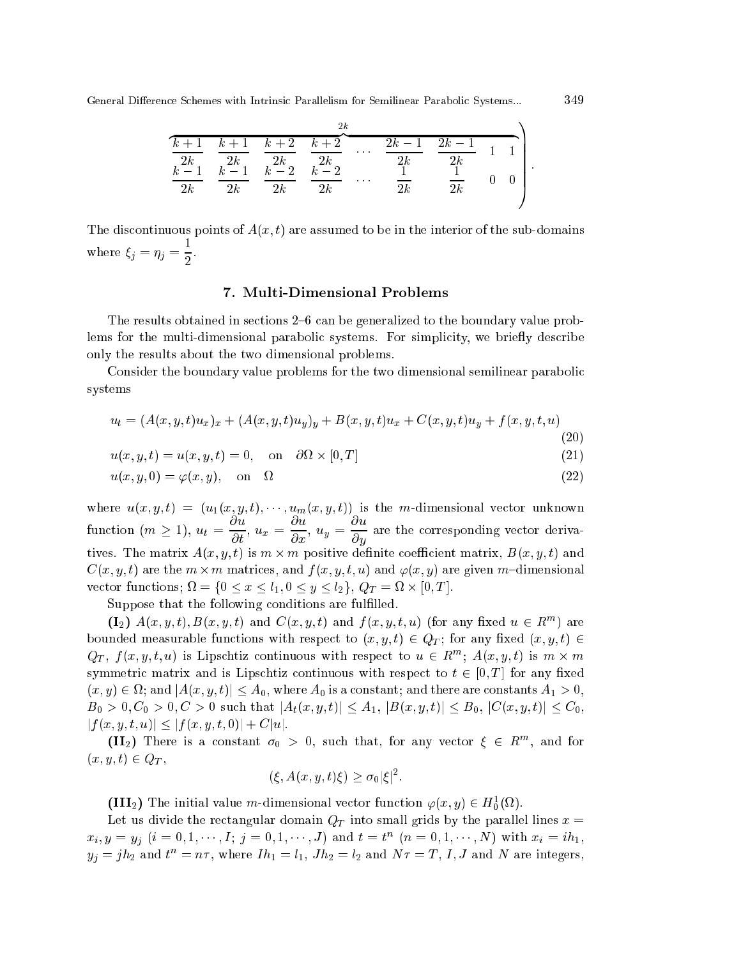|       |       |       | 2k    |        |                     |  |
|-------|-------|-------|-------|--------|---------------------|--|
| $k+1$ | $k+1$ | $k+2$ | $k+2$ | $2k-1$ | $\overline{2k} - 1$ |  |
| 2k    | 2k    | 2k    | 2k    | 2k     | 2k                  |  |
| $k =$ | $k-1$ | $k-2$ | $k-2$ |        |                     |  |
| 2k    | 2k    | 2k    | 2k    | 2k     | $\frac{1}{2k}$      |  |
|       |       |       |       |        |                     |  |

The discontinuous points of  $A(x, t)$  are assumed to be in the interior of the sub-domains where  $\xi_j = \eta_j = \frac{1}{2}$ .

## 7. Multi-Dimensional Problems

The results obtained in sections 2–6 can be generalized to the boundary value problems for the multi-dimensional parabolic systems. For simplicity, we briefly describe only the results about the two dimensional problems.

Consider the boundary value problems for the two dimensional semilinear parabolic systems

$$
u_t = (A(x, y, t)u_x)_x + (A(x, y, t)u_y)_y + B(x, y, t)u_x + C(x, y, t)u_y + f(x, y, t, u)
$$
\n(20)

$$
u(x, y, t) = u(x, y, t) = 0, \quad \text{on} \quad \text{O}_{X} \times [0, 1] \tag{21}
$$

$$
u(x, y, 0) = \varphi(x, y), \quad \text{on} \quad \Omega \tag{22}
$$

where  $u(x, y, t) = (u_1(x, y, t), \dots, u_m(x, y, t))$  is the *m*-dimensional vector unknown function  $(m \ge 1)$ ,  $u_t = \frac{\partial u}{\partial t}$ ,  $u_x = \frac{\partial u}{\partial x}$ ,  $u_y = \frac{\partial u}{\partial y}$  are the corresponding vector derivatives. The matrix  $A(x, y, t)$  is  $m \times m$  positive definite coefficient matrix,  $B(x, y, t)$  and  $C(x, y, t)$  are the  $m \times m$  matrices, and  $f(x, y, t, u)$  and  $\varphi(x, y)$  are given m-dimensional vector functions;  $\Omega = \{0 \le x \le l_1, 0 \le y \le l_2\}, Q_T = \Omega \times [0, T].$ 

Suppose that the following conditions are fulfilled.

 $(1_2)$   $A(x, y, t)$ ,  $B(x, y, t)$  and  $C(x, y, t)$  and  $f(x, y, t, u)$  (for any fixed  $u \in R^m$ ) are bounded measurable functions with respect to  $(x, y, t) \in Q_T$ ; for any fixed  $(x, y, t) \in$  $Q_T$ ,  $f(x, y, t, u)$  is Lipschtiz continuous with respect to  $u \in R^m$ ;  $A(x, y, t)$  is  $m \times m$ symmetric matrix and is Lipschtiz continuous with respect to  $t \in [0, T]$  for any fixed  $(x, y) \in \Omega$ ; and  $|A(x, y, t)| \leq A_0$ , where  $A_0$  is a constant; and there are constants  $A_1 > 0$ ,  $B_0 > 0, C_0 > 0, C > 0$  such that  $|A_t(x, y, t)| \leq A_1, |B(x, y, t)| \leq B_0, |C(x, y, t)| \leq C_0$  $|f(x, y, t, u)| \leq |f(x, y, t, 0)| + C|u|.$ 

(II<sub>2</sub>) There is a constant  $\sigma_0 > 0$ , such that, for any vector  $\xi \in R^m$ , and for  $(x, y, t) \in Q_T$ ,

$$
(\xi, A(x, y, t)\xi) \ge \sigma_0 |\xi|^2
$$

(III<sub>2</sub>) The initial value m-dimensional vector function  $\varphi(x, y) \in H_0^1(\Omega)$ .

Let us divide the rectangular domain  $Q_T$  into small grids by the parallel lines  $x =$  $x_i, y = y_j$   $(i = 0, 1, \dots, I; j = 0, 1, \dots, J)$  and  $t = t^n$   $(n = 0, 1, \dots, N)$  with  $x_i = ih_1$ ,  $y_j = jh_2$  and  $t^n = n\tau$ , where  $Ih_1 = l_1$ ,  $Jh_2 = l_2$  and  $N\tau = T$ , I, J and N are integers,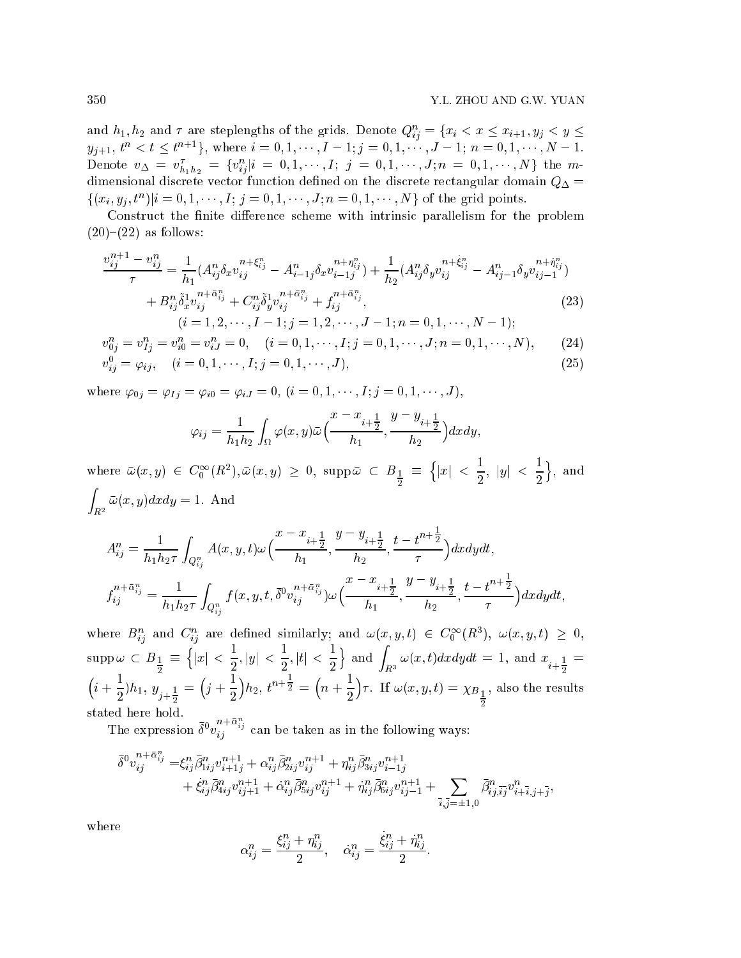and  $h_1, h_2$  and  $\tau$  are steplengths of the grids. Denote  $Q_{ij}^n = \{x_i \leq x \leq x_{i+1}, y_j \leq y \leq x_{i+1}\}$  $y_{j+1}, t^n < t \leq t^{n+1}$ , where  $i = 0, 1, \dots, I-1; j = 0, 1, \dots, J-1; n = 0, 1, \dots, N-1.$ Denote  $v_{\Delta} = v_{h_1h_2}^{\tau} = \{v_{ij}^n | i = 0, 1, \cdots, I; j = 0, 1, \cdots, J; n = 0, 1, \cdots, N\}$  the mdimensional discrete vector function defined on the discrete rectangular domain  $Q_{\Delta}$  =  $\{(x_i, y_j, t^n)|i = 0, 1, \dots, I; j = 0, 1, \dots, J; n = 0, 1, \dots, N\}$  of the grid points.

Construct the finite difference scheme with intrinsic parallelism for the problem  $(20)$ – $(22)$  as follows:

$$
\frac{v_{ij}^{n+1} - v_{ij}^n}{\tau} = \frac{1}{h_1} (A_{ij}^n \delta_x v_{ij}^{n+\xi_{ij}^n} - A_{i-1j}^n \delta_x v_{i-1j}^{n+\eta_{ij}^n}) + \frac{1}{h_2} (A_{ij}^n \delta_y v_{ij}^{n+\xi_{ij}^n} - A_{ij-1}^n \delta_y v_{ij-1}^{n+\eta_{ij}^n})
$$
  
+ 
$$
B_{ij}^n \tilde{\delta}_x^1 v_{ij}^{n+\xi_{ij}^n} + C_{ij}^n \tilde{\delta}_y^1 v_{ij}^{n+\xi_{ij}^n} + f_{ij}^{n+\xi_{ij}^n},
$$
  
(*i* = 1, 2, ···, *I* - 1; *j* = 1, 2, ···, *J* - 1; *n* = 0, 1, ···, *N* - 1); (23)

$$
v_{0j}^n = v_{1j}^n = v_{i0}^n = v_{iJ}^n = 0, \quad (i = 0, 1, \cdots, I; j = 0, 1, \cdots, J; n = 0, 1, \cdots, N), \tag{24}
$$

$$
v_{ij}^0 = \varphi_{ij}, \quad (i = 0, 1, \cdots, I; j = 0, 1, \cdots, J), \tag{25}
$$

where  $\varphi_{0j} = \varphi_{Ij} = \varphi_{i0} = \varphi_{iJ} = 0$ ,  $(i = 0, 1, \dots, I; j = 0, 1, \dots, J)$ ,

$$
\varphi_{ij} = \frac{1}{h_1 h_2} \int_{\Omega} \varphi(x, y) \bar{\omega} \Big( \frac{x - x_{i + \frac{1}{2}}}{h_1}, \frac{y - y_{i + \frac{1}{2}}}{h_2} \Big) dx dy,
$$

where  $\bar{\omega}(x,y) \in C_0^{\infty}(R^2), \bar{\omega}(x,y) \geq 0$ , supp $\bar{\omega} \subset B_{\frac{1}{2}} \equiv \left\{ |x| \leq \frac{1}{2}, |y| \leq \frac{1}{2} \right\}$ , and  $\int_{R^2} \bar{\omega}(x, y) dx dy = 1. \text{ And}$ 

$$
A_{ij}^{n} = \frac{1}{h_{1}h_{2}\tau} \int_{Q_{ij}^{n}} A(x, y, t) \omega\left(\frac{x - x_{i + \frac{1}{2}}}{h_{1}}, \frac{y - y_{i + \frac{1}{2}}}{h_{2}}, \frac{t - t^{n + \frac{1}{2}}}{\tau}\right) dx dy dt,
$$
  

$$
f_{ij}^{n + \bar{\alpha}_{ij}^{n}} = \frac{1}{h_{1}h_{2}\tau} \int_{Q_{ij}^{n}} f(x, y, t, \bar{\delta}^{0} v_{ij}^{n + \bar{\alpha}_{ij}^{n}}) \omega\left(\frac{x - x_{i + \frac{1}{2}}}{h_{1}}, \frac{y - y_{i + \frac{1}{2}}}{h_{2}}, \frac{t - t^{n + \frac{1}{2}}}{\tau}\right) dx dy dt,
$$

where  $B_{ij}^n$  and  $C_{ij}^n$  are defined similarly; and  $\omega(x, y, t) \in C_0^{\infty}(R^3)$ ,  $\omega(x, y, t) \geq 0$ ,  $\mathrm{supp}\,\omega\,\subset\, B_{\frac{1}{2}}\,\equiv\,\Big\{ |x|\,<\,\frac{1}{2}, |y|\,<\,\frac{1}{2}, |t|\,<\,\frac{1}{2} \Big\}\,\;\text{and}\;\int_{\mathit{R}^3}\omega(x,t) dxdydt\,=\,1,\;\text{and}\;\, x_{i+\frac{1}{2}}\,=\,$  $\left(i+\frac{1}{2}\right)h_1, y_{j+\frac{1}{2}} = \left(j+\frac{1}{2}\right)h_2, t^{n+\frac{1}{2}} = \left(n+\frac{1}{2}\right)\tau.$  If  $\omega(x, y, t) = \chi_{B_{\frac{1}{2}}},$  also the results stated here hold.

The expression  $\bar{\delta}^0 v_{ij}^{n+\bar{\alpha}_{ij}^n}$  can be taken as in the following ways:

$$
\begin{aligned} \bar{\delta}^0 v^{n+\bar{\alpha}^n_{ij}}_{ij}=&\xi^n_{ij}\bar{\beta}^n_{1ij}v^{n+1}_{i+1j}+\alpha^n_{ij}\bar{\beta}^n_{2ij}v^{n+1}_{ij}+\eta^n_{ij}\bar{\beta}^n_{3ij}v^{n+1}_{i-1j}\\&+\dot{\xi}^n_{ij}\bar{\beta}^n_{4ij}v^{n+1}_{ij+1}+\dot{\alpha}^n_{ij}\bar{\beta}^n_{5ij}v^{n+1}_{ij}+\dot{\eta}^n_{ij}\bar{\beta}^n_{6ij}v^{n+1}_{ij-1}+\sum_{\bar{i},\bar{j}=\pm 1,0} \bar{\beta}^n_{ij,\bar{i}\bar{j}}v^n_{i+\bar{i},j+\bar{j}}, \end{aligned}
$$

where

$$
\alpha_{ij}^n = \frac{\xi_{ij}^n + \eta_{ij}^n}{2}, \quad \dot{\alpha}_{ij}^n = \frac{\dot{\xi}_{ij}^n + \dot{\eta}_{ij}^n}{2}.
$$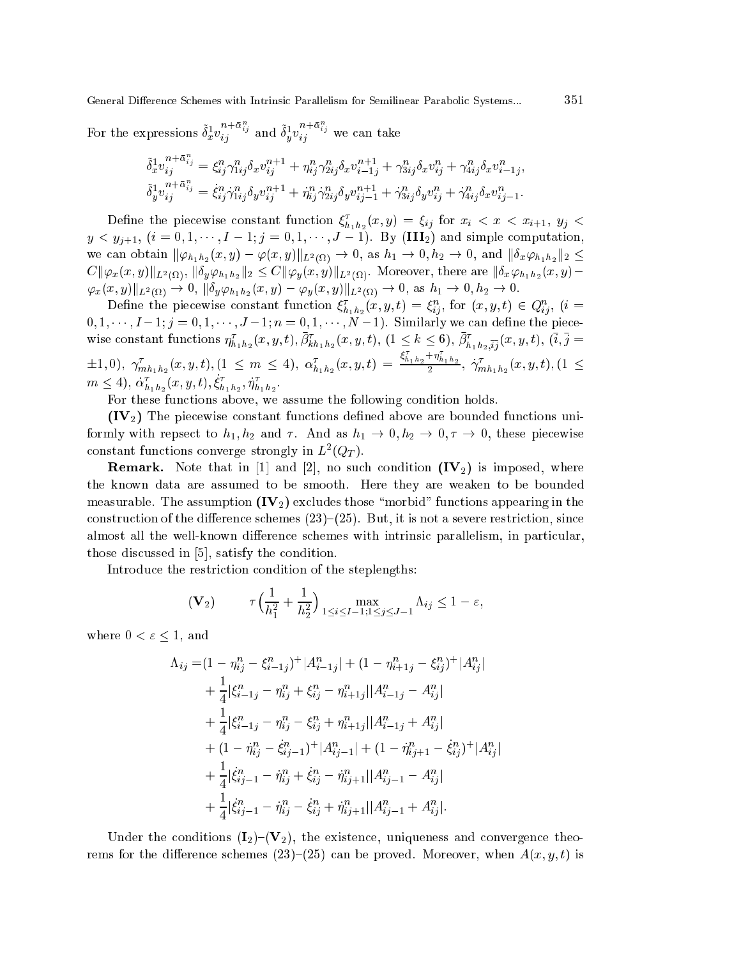For the expressions  $\tilde{\delta}_x^1 v_{ij}^{n+\bar{\alpha}_{ij}^n}$  and  $\tilde{\delta}_y^1 v_{ij}^{n+\bar{\alpha}_{ij}^n}$  we can take

$$
\tilde{\delta}_x^1 v_{ij}^{n+\bar{\alpha}_{ij}^n} = \xi_{ij}^n \gamma_{1ij}^n \delta_x v_{ij}^{n+1} + \eta_{ij}^n \gamma_{2ij}^n \delta_x v_{i-1j}^{n+1} + \gamma_{3ij}^n \delta_x v_{ij}^n + \gamma_{4ij}^n \delta_x v_{i-1j}^n,
$$
  
\n
$$
\tilde{\delta}_y^1 v_{ij}^{n+\bar{\alpha}_{ij}^n} = \dot{\xi}_{ij}^n \dot{\gamma}_{1ij}^n \delta_y v_{ij}^{n+1} + \dot{\eta}_{ij}^n \dot{\gamma}_{2ij}^n \delta_y v_{ij-1}^{n+1} + \dot{\gamma}_{3ij}^n \delta_y v_{ij}^n + \dot{\gamma}_{4ij}^n \delta_x v_{ij-1}^n.
$$

351

Define the piecewise constant function  $\xi_{h_1h_2}^{\tau}(x,y) = \xi_{ij}$  for  $x_i < x < x_{i+1}$ ,  $y_j <$  $y < y_{i+1}, (i = 0, 1, \dots, I-1; j = 0, 1, \dots, J-1)$ . By (III<sub>2</sub>) and simple computation we can obtain  $\|\varphi_{h_1h_2}(x,y)-\varphi(x,y)\|_{L^2(\Omega)}\to 0$ , as  $h_1\to 0, h_2\to 0$ , and  $\|\delta_x\varphi_{h_1h_2}\|_2\leq$  $C\|\varphi_x(x,y)\|_{L^2(\Omega)}, \|\delta_y\varphi_{h_1h_2}\|_2 \leq C\|\varphi_y(x,y)\|_{L^2(\Omega)}.$  Moreover, there are  $\|\delta_x\varphi_{h_1h_2}(x,y)-\varphi_{h_1h_2}(x,y)\|_2$  $\|\varphi_x(x,y)\|_{L^2(\Omega)} \to 0, \|\delta_y \varphi_{h_1h_2}(x,y) - \varphi_y(x,y)\|_{L^2(\Omega)} \to 0, \text{ as } h_1 \to 0, h_2 \to 0.$ 

Define the piecewise constant function  $\xi_{h_1h_2}^{\tau}(x, y, t) = \xi_{ij}^n$ , for  $(x, y, t) \in Q_{ij}^n$ ,  $(i =$  $0, 1, \dots, I-1; j = 0, 1, \dots, J-1; n = 0, 1, \dots, N-1$ . Similarly we can define the piece wise constant functions  $\eta_{h_1h_2}^{\tau}(x, y, t), \bar{\beta}_{kh_1h_2}^{\tau}(x, y, t), (1 \le k \le 6), \bar{\beta}_{h_1h_2, \bar{i}\bar{j}}^{\tau}(x, y, t), (\bar{i}, \bar{j} =$  $(1, 1, 0), \ \gamma_{mh_1h_2}^{\tau}(x, y, t), (1 \leq m \leq 4), \ \alpha_{h_1h_2}^{\tau}(x, y, t) = \frac{\xi_{h_1h_2}^{\tau} + \eta_{h_1h_2}^{\tau}}{2}, \ \gamma_{mh_1h_2}^{\tau}(x, y, t), (1 \leq t)$  $m \leq 4$ ,  $\dot{\alpha}_{h_1h_2}^{\tau}(x, y, t), \dot{\xi}_{h_1h_2}^{\tau}, \dot{\eta}_{h_1h_2}^{\tau}$ 

For these functions above, we assume the following condition holds.

 $(\mathrm{IV}_2)$  The piecewise constant functions defined above are bounded functions uniformly with repsect to  $h_1, h_2$  and  $\tau$ . And as  $h_1 \to 0, h_2 \to 0, \tau \to 0$ , these piecewise constant functions converge strongly in  $L^2(Q_T)$ .

**Remark.** Note that in [1] and [2], no such condition  $(V_2)$  is imposed, where the known data are assumed to be smooth. Here they are weaken to be bounded measurable. The assumption  $(V_2)$  excludes those "morbid" functions appearing in the construction of the difference schemes  $(23)$ – $(25)$ . But, it is not a severe restriction, since almost all the well-known difference schemes with intrinsic parallelism, in particular, those discussed in [5], satisfy the condition.

Introduce the restriction condition of the steplengths:

$$
(\mathbf{V}_2) \qquad \tau \Big( \frac{1}{h_1^2} + \frac{1}{h_2^2} \Big)_{1 \le i \le I-1; 1 \le j \le J-1} \Lambda_{ij} \le 1 - \varepsilon
$$

where  $0 < \varepsilon \leq 1$ , and

$$
\Lambda_{ij} = (1 - \eta_{ij}^n - \xi_{i-1j}^n)^+ |A_{i-1j}^n| + (1 - \eta_{i+1j}^n - \xi_{ij}^n)^+ |A_{ij}^n| \n+ \frac{1}{4} |\xi_{i-1j}^n - \eta_{ij}^n + \xi_{ij}^n - \eta_{i+1j}^n ||A_{i-1j}^n - A_{ij}^n| \n+ \frac{1}{4} |\xi_{i-1j}^n - \eta_{ij}^n - \xi_{ij}^n + \eta_{i+1j}^n ||A_{i-1j}^n + A_{ij}^n| \n+ (1 - \eta_{ij}^n - \xi_{ij-1}^n)^+ |A_{ij-1}^n| + (1 - \eta_{ij+1}^n - \xi_{ij}^n)^+ |A_{ij}^n| \n+ \frac{1}{4} |\xi_{ij-1}^n - \eta_{ij}^n + \xi_{ij}^n - \eta_{ij+1}^n ||A_{ij-1}^n - A_{ij}^n| \n+ \frac{1}{4} |\xi_{ij-1}^n - \eta_{ij}^n - \xi_{ij}^n + \eta_{ij+1}^n ||A_{ij-1}^n + A_{ij}^n|.
$$

Under the conditions  $(I_2)$ – $(V_2)$ , the existence, uniqueness and convergence theorems for the difference schemes (23)–(25) can be proved. Moreover, when  $A(x, y, t)$  is